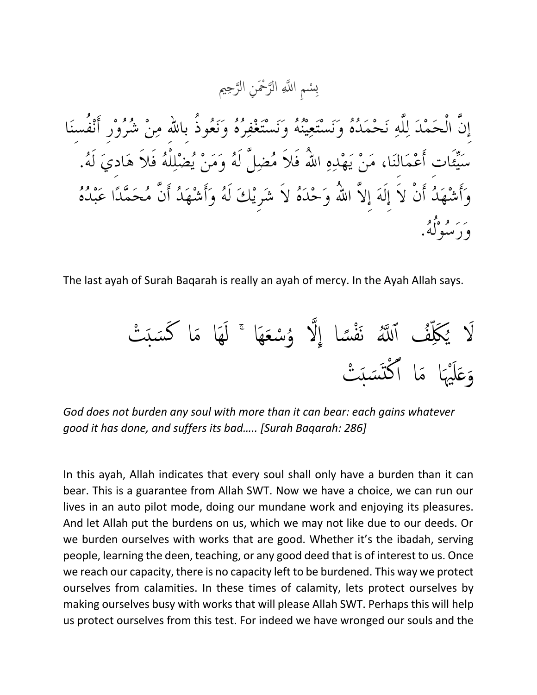سْمِ اللَّهِ الرَّحْمَنِ الرَّحِيم ته<br>ل ت<br>لا  $\overline{\mathbf{C}}$ ِب

إِنَّ الْحَمْدَ لِلَّهِ نَحْمَدُهُ وَنَسْتَعِينُهُ وَنَسْتَغْفِرُهُ وَنَعُوذُ بِاللهِ مِنْ شُرُوْرٍ أَنْفُسنَا سَيِّئَات أَعْمَالنَا، مَنْ يَهْدِهِ اللَّهُ فَلاَ مُضِلَّ لَهُ وَمَنْ يُضْلِلْهُ فَلاَ هَاديَ لَهُ. وَأَشْهَدُ أَنْ لاَ إِلَهَ إِلاَّ اللّهُ وَحْدَهُ لاَ شَرِيْكَ لَهُ وَأَشْهَدُ أَنَّ مُحَمَّدًا عَبْدُهُ بر او ه<sup>و</sup>و.<br>و د سوله.

The last ayah of Surah Baqarah is really an ayah of mercy. In the Ayah Allah says.



*God does not burden any soul with more than it can bear: each gains whatever good it has done, and suffers its bad….. [Surah Baqarah: 286]*

In this ayah, Allah indicates that every soul shall only have a burden than it can bear. This is a guarantee from Allah SWT. Now we have a choice, we can run our lives in an auto pilot mode, doing our mundane work and enjoying its pleasures. And let Allah put the burdens on us, which we may not like due to our deeds. Or we burden ourselves with works that are good. Whether it's the ibadah, serving people, learning the deen, teaching, or any good deed that is of interest to us. Once we reach our capacity, there is no capacity left to be burdened. This way we protect ourselves from calamities. In these times of calamity, lets protect ourselves by making ourselves busy with works that will please Allah SWT. Perhaps this will help us protect ourselves from this test. For indeed we have wronged our souls and the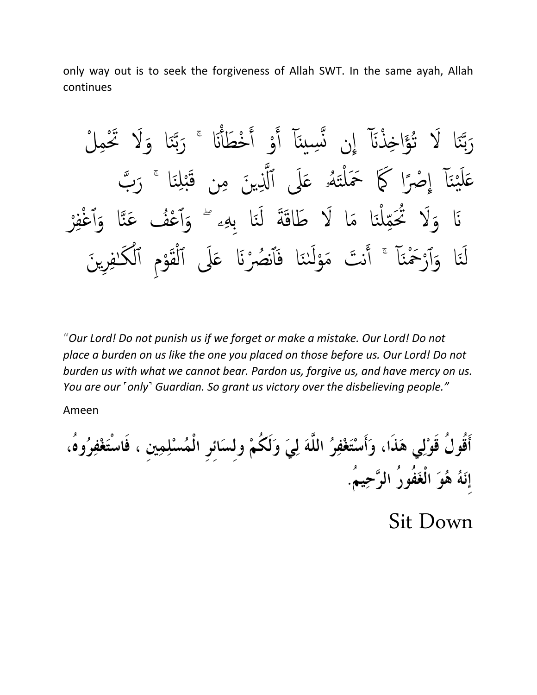only way out is to seek the forgiveness of Allah SWT. In the same ayah, Allah continues

رَبَّنَا لَا تُؤَاخِذْنَآ إِن نَّسِينَآ أَوْ أَخْطَأْنَا ۚ رَبَّنَا وَلَا تَحْمِلْ ة ن<br>م لة<br>ب بد<br>ڊ ر<br>( تح<br>|<br>| ه<br>م م<br>ا نِے<br>بر ا ە<br>-َا ن<br>م ته<br>ب بة<br>بالآ ر<br>ز عَلَيْنَا إِصْرًا كَمَا حَمَلْتَهُۥ عَلَى ٱلَّذِينَ مِن قَبْلِنَا ۚ رَبَّ ند  $\overline{\mathfrak{z}}$  $\sum$ ە<br>^ ر<br>أم و<br>لم بند<br>من ۠ ًا  $\frac{1}{2}$ غِ<br>∤ ا ن<br>نار<br>نار  $\frac{1}{2}$ ن<br>مره  $\int$ نَا وَلَا تُحَمِّلْنَا مَا لَا طَاقَةَ لَنَا بِهِۦ ۚ وَٱعْفُ عَنَّا وَٱغْفِرْ ە<br>( ه<br>ک ہ<br>ا ٱ ة  $\frac{1}{2}$ ۔<br>م م<br>ا ة .<br>م ِ<br>أ :<br>ند ْ ل ِهِ س<br>م ة َا وَٱرْحَمْنَآ ۚ أَنتَ مَوْلَننَا فَٱنصُرْنَا عَلَى ٱلْقَوْمِ ٱلْكَـٰفِرِينَ فِ ا<br>ا ہ<br>|<br>| ل لہ<br>آ ٱ م<br>} ه<br>م َم<br>ه ہ<br>ا ة<br>ا ۔<br>م و<br>م ن م<br>أ ،<br>م ِ<br>أ ە<br>م ە<br>\ ۔<br>ا ٱ ة ن<br>مر ِ<br>ز ل

"*Our Lord! Do not punish us if we forget or make a mistake. Our Lord! Do not place a burden on us like the one you placed on those before us. Our Lord! Do not burden us with what we cannot bear. Pardon us, forgive us, and have mercy on us. You are our ˹only˺ Guardian. So grant us victory over the disbelieving people."*

Ameen

أَقُولُ قَوْلِي هَذَا، وَأَسْتَغْفِرُ اللَّهَ لِيَ وَلَكُمْ ولسَائر الْمُسْلِمِين ، فَاسْتَغْفِرُوهُ، إِنَهُ هُوَ الْغَفُورُ الرَّحِيمُ.

Sit Down